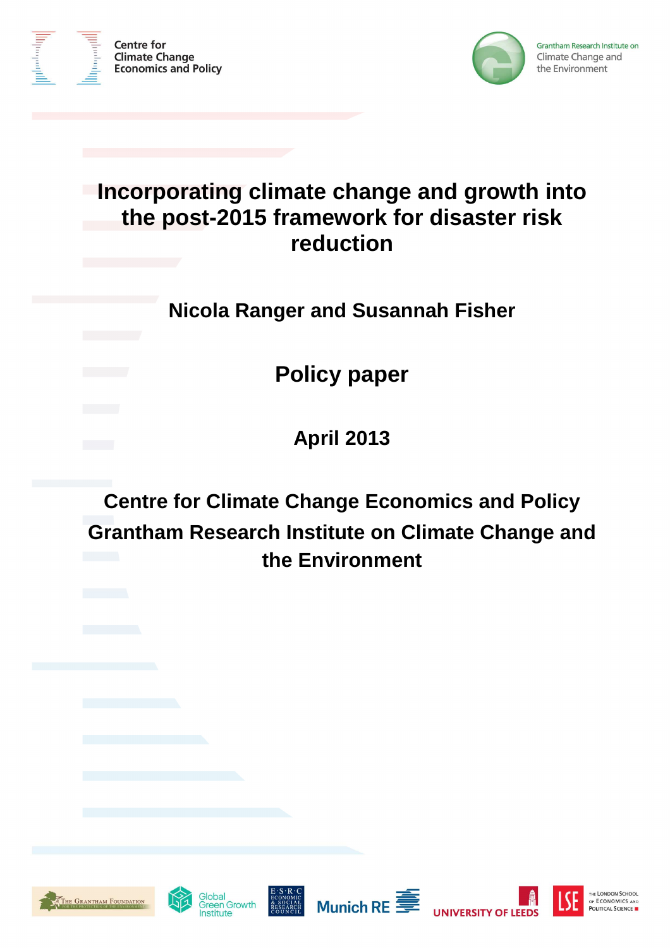



# **Incorporating climate change and growth into the post-2015 framework for disaster risk reduction**

# **Nicola Ranger and Susannah Fisher**

**Policy paper** 

**April 2013** 

**Centre for Climate Change Economics and Policy Grantham Research Institute on Climate Change and the Environment** 













1

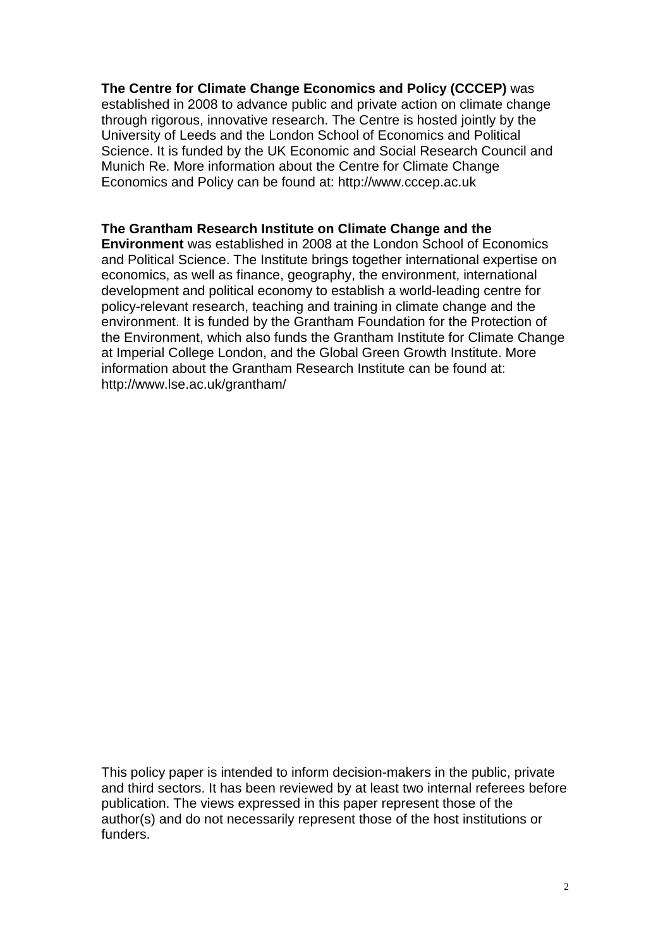# **The Centre for Climate Change Economics and Policy (CCCEP)** was

established in 2008 to advance public and private action on climate change through rigorous, innovative research. The Centre is hosted jointly by the University of Leeds and the London School of Economics and Political Science. It is funded by the UK Economic and Social Research Council and Munich Re. More information about the Centre for Climate Change Economics and Policy can be found at: http://www.cccep.ac.uk

# **The Grantham Research Institute on Climate Change and the**

**Environment** was established in 2008 at the London School of Economics and Political Science. The Institute brings together international expertise on economics, as well as finance, geography, the environment, international development and political economy to establish a world-leading centre for policy-relevant research, teaching and training in climate change and the environment. It is funded by the Grantham Foundation for the Protection of the Environment, which also funds the Grantham Institute for Climate Change at Imperial College London, and the Global Green Growth Institute. More information about the Grantham Research Institute can be found at: http://www.lse.ac.uk/grantham/

This policy paper is intended to inform decision-makers in the public, private and third sectors. It has been reviewed by at least two internal referees before publication. The views expressed in this paper represent those of the author(s) and do not necessarily represent those of the host institutions or funders.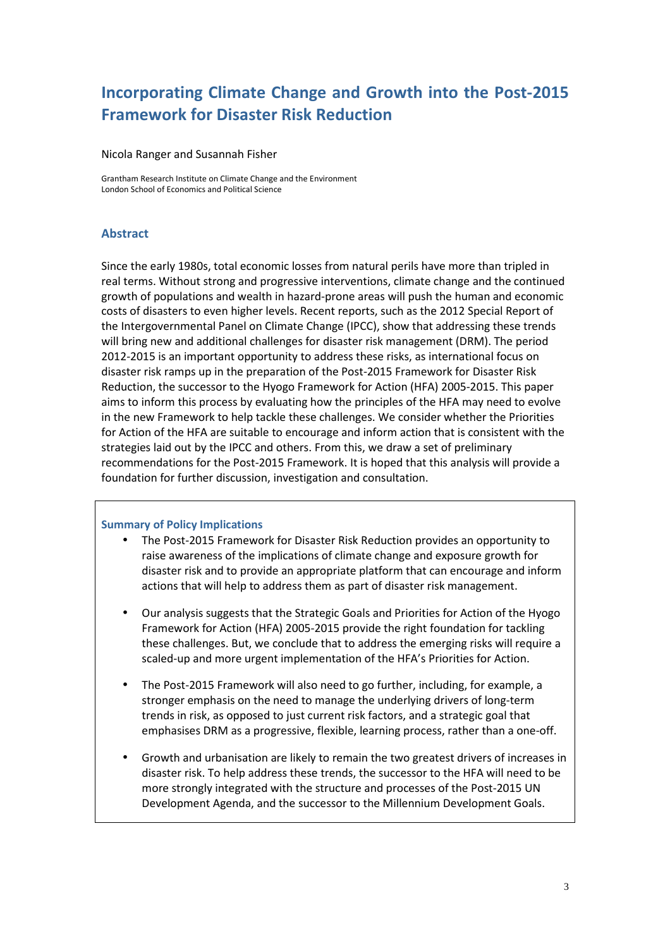# **Incorporating Climate Change and Growth into the Post-2015 Framework for Disaster Risk Reduction**

#### Nicola Ranger and Susannah Fisher

Grantham Research Institute on Climate Change and the Environment London School of Economics and Political Science

# **Abstract**

Since the early 1980s, total economic losses from natural perils have more than tripled in real terms. Without strong and progressive interventions, climate change and the continued growth of populations and wealth in hazard-prone areas will push the human and economic costs of disasters to even higher levels. Recent reports, such as the 2012 Special Report of the Intergovernmental Panel on Climate Change (IPCC), show that addressing these trends will bring new and additional challenges for disaster risk management (DRM). The period 2012-2015 is an important opportunity to address these risks, as international focus on disaster risk ramps up in the preparation of the Post-2015 Framework for Disaster Risk Reduction, the successor to the Hyogo Framework for Action (HFA) 2005-2015. This paper aims to inform this process by evaluating how the principles of the HFA may need to evolve in the new Framework to help tackle these challenges. We consider whether the Priorities for Action of the HFA are suitable to encourage and inform action that is consistent with the strategies laid out by the IPCC and others. From this, we draw a set of preliminary recommendations for the Post-2015 Framework. It is hoped that this analysis will provide a foundation for further discussion, investigation and consultation.

### **Summary of Policy Implications**

- The Post-2015 Framework for Disaster Risk Reduction provides an opportunity to raise awareness of the implications of climate change and exposure growth for disaster risk and to provide an appropriate platform that can encourage and inform actions that will help to address them as part of disaster risk management.
- Our analysis suggests that the Strategic Goals and Priorities for Action of the Hyogo Framework for Action (HFA) 2005-2015 provide the right foundation for tackling these challenges. But, we conclude that to address the emerging risks will require a scaled-up and more urgent implementation of the HFA's Priorities for Action.
- The Post-2015 Framework will also need to go further, including, for example, a stronger emphasis on the need to manage the underlying drivers of long-term trends in risk, as opposed to just current risk factors, and a strategic goal that emphasises DRM as a progressive, flexible, learning process, rather than a one-off.
- Growth and urbanisation are likely to remain the two greatest drivers of increases in disaster risk. To help address these trends, the successor to the HFA will need to be more strongly integrated with the structure and processes of the Post-2015 UN Development Agenda, and the successor to the Millennium Development Goals.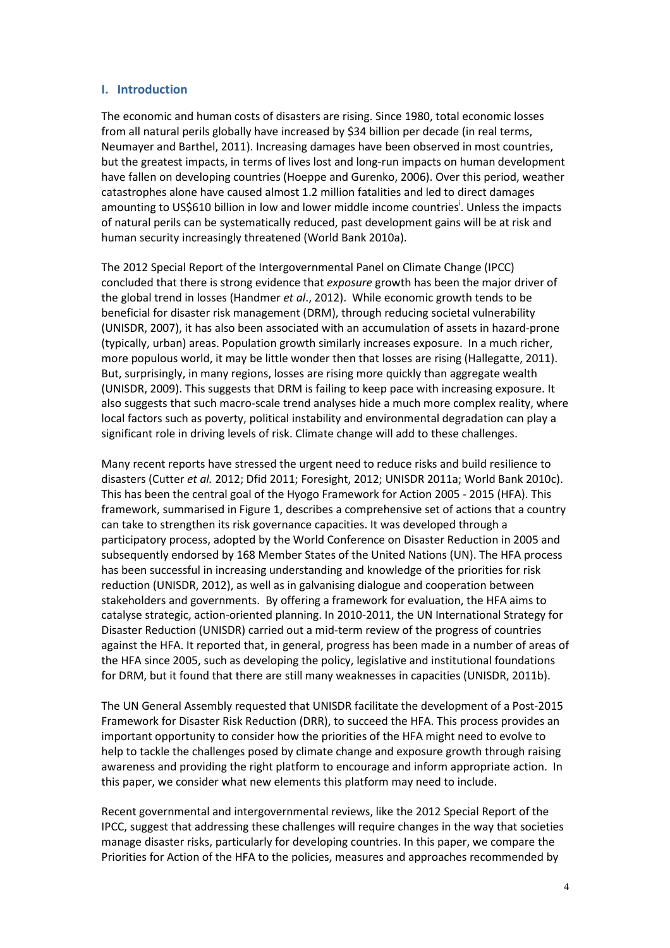### **I. Introduction**

The economic and human costs of disasters are rising. Since 1980, total economic losses from all natural perils globally have increased by \$34 billion per decade (in real terms, Neumayer and Barthel, 2011). Increasing damages have been observed in most countries, but the greatest impacts, in terms of lives lost and long-run impacts on human development have fallen on developing countries (Hoeppe and Gurenko, 2006). Over this period, weather catastrophes alone have caused almost 1.2 million fatalities and led to direct damages amounting to US\$610 billion in low and lower middle income countries<sup>i</sup>. Unless the impacts of natural perils can be systematically reduced, past development gains will be at risk and human security increasingly threatened (World Bank 2010a).

The 2012 Special Report of the Intergovernmental Panel on Climate Change (IPCC) concluded that there is strong evidence that *exposure* growth has been the major driver of the global trend in losses (Handmer *et al*., 2012). While economic growth tends to be beneficial for disaster risk management (DRM), through reducing societal vulnerability (UNISDR, 2007), it has also been associated with an accumulation of assets in hazard-prone (typically, urban) areas. Population growth similarly increases exposure. In a much richer, more populous world, it may be little wonder then that losses are rising (Hallegatte, 2011). But, surprisingly, in many regions, losses are rising more quickly than aggregate wealth (UNISDR, 2009). This suggests that DRM is failing to keep pace with increasing exposure. It also suggests that such macro-scale trend analyses hide a much more complex reality, where local factors such as poverty, political instability and environmental degradation can play a significant role in driving levels of risk. Climate change will add to these challenges.

Many recent reports have stressed the urgent need to reduce risks and build resilience to disasters (Cutter *et al.* 2012; Dfid 2011; Foresight, 2012; UNISDR 2011a; World Bank 2010c). This has been the central goal of the Hyogo Framework for Action 2005 - 2015 (HFA). This framework, summarised in Figure 1, describes a comprehensive set of actions that a country can take to strengthen its risk governance capacities. It was developed through a participatory process, adopted by the World Conference on Disaster Reduction in 2005 and subsequently endorsed by 168 Member States of the United Nations (UN). The HFA process has been successful in increasing understanding and knowledge of the priorities for risk reduction (UNISDR, 2012), as well as in galvanising dialogue and cooperation between stakeholders and governments. By offering a framework for evaluation, the HFA aims to catalyse strategic, action-oriented planning. In 2010-2011, the UN International Strategy for Disaster Reduction (UNISDR) carried out a mid-term review of the progress of countries against the HFA. It reported that, in general, progress has been made in a number of areas of the HFA since 2005, such as developing the policy, legislative and institutional foundations for DRM, but it found that there are still many weaknesses in capacities (UNISDR, 2011b).

The UN General Assembly requested that UNISDR facilitate the development of a Post-2015 Framework for Disaster Risk Reduction (DRR), to succeed the HFA. This process provides an important opportunity to consider how the priorities of the HFA might need to evolve to help to tackle the challenges posed by climate change and exposure growth through raising awareness and providing the right platform to encourage and inform appropriate action. In this paper, we consider what new elements this platform may need to include.

Recent governmental and intergovernmental reviews, like the 2012 Special Report of the IPCC, suggest that addressing these challenges will require changes in the way that societies manage disaster risks, particularly for developing countries. In this paper, we compare the Priorities for Action of the HFA to the policies, measures and approaches recommended by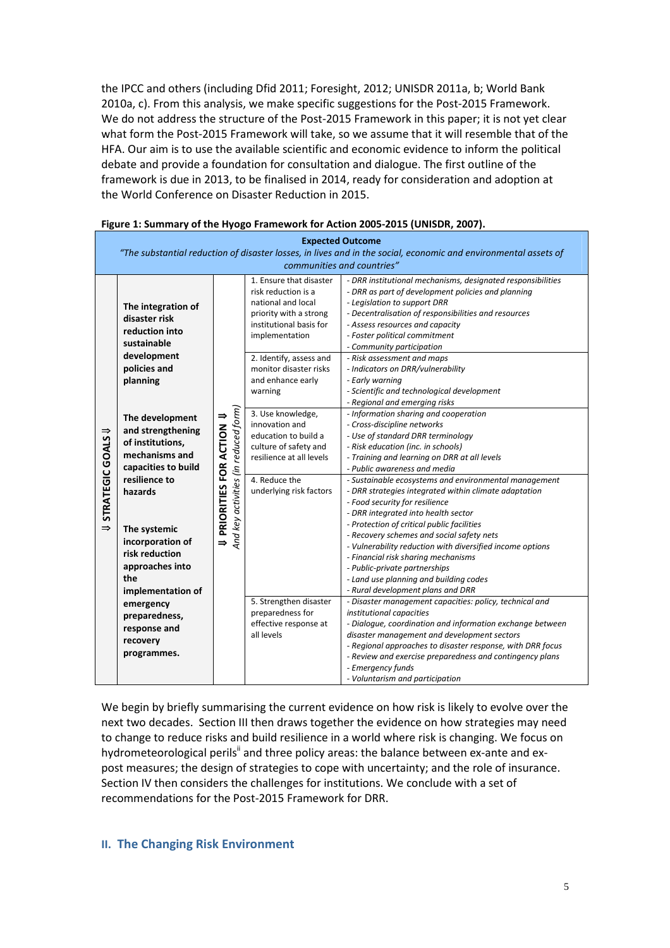the IPCC and others (including Dfid 2011; Foresight, 2012; UNISDR 2011a, b; World Bank 2010a, c). From this analysis, we make specific suggestions for the Post-2015 Framework. We do not address the structure of the Post-2015 Framework in this paper; it is not yet clear what form the Post-2015 Framework will take, so we assume that it will resemble that of the HFA. Our aim is to use the available scientific and economic evidence to inform the political debate and provide a foundation for consultation and dialogue. The first outline of the framework is due in 2013, to be finalised in 2014, ready for consideration and adoption at the World Conference on Disaster Reduction in 2015.

|                                    | <b>Expected Outcome</b><br>"The substantial reduction of disaster losses, in lives and in the social, economic and environmental assets of<br>communities and countries" |                                      |                                                                                                                                                                        |                                                                                                                                                                                                                                                                                                                                                                                   |  |  |  |  |  |
|------------------------------------|--------------------------------------------------------------------------------------------------------------------------------------------------------------------------|--------------------------------------|------------------------------------------------------------------------------------------------------------------------------------------------------------------------|-----------------------------------------------------------------------------------------------------------------------------------------------------------------------------------------------------------------------------------------------------------------------------------------------------------------------------------------------------------------------------------|--|--|--|--|--|
| STRATEGIC GOALS U<br>$\Rightarrow$ | The integration of<br>disaster risk<br>reduction into<br>sustainable<br>development                                                                                      |                                      | 1. Ensure that disaster<br>risk reduction is a<br>national and local<br>priority with a strong<br>institutional basis for<br>implementation<br>2. Identify, assess and | - DRR institutional mechanisms, designated responsibilities<br>- DRR as part of development policies and planning<br>- Legislation to support DRR<br>- Decentralisation of responsibilities and resources<br>- Assess resources and capacity<br>- Foster political commitment<br>- Community participation<br>- Risk assessment and maps                                          |  |  |  |  |  |
|                                    | policies and<br>planning                                                                                                                                                 |                                      | monitor disaster risks<br>- Indicators on DRR/vulnerability<br>and enhance early<br>- Early warning<br>warning                                                         | - Scientific and technological development<br>- Regional and emerging risks                                                                                                                                                                                                                                                                                                       |  |  |  |  |  |
|                                    | U PRIORITIES FOR ACTION U<br>The development<br>and strengthening<br>of institutions,<br>mechanisms and<br>capacities to build                                           | And key activities (in reduced form) | 3. Use knowledge,<br>innovation and<br>education to build a<br>culture of safety and<br>resilience at all levels                                                       | - Information sharing and cooperation<br>- Cross-discipline networks<br>- Use of standard DRR terminology<br>- Risk education (inc. in schools)<br>- Training and learning on DRR at all levels<br>- Public awareness and media                                                                                                                                                   |  |  |  |  |  |
|                                    | resilience to<br>hazards                                                                                                                                                 |                                      | 4. Reduce the<br>underlying risk factors                                                                                                                               | - Sustainable ecosystems and environmental management<br>- DRR strategies integrated within climate adaptation<br>- Food security for resilience<br>- DRR integrated into health sector                                                                                                                                                                                           |  |  |  |  |  |
|                                    | The systemic<br>incorporation of<br>risk reduction<br>approaches into<br>the<br>implementation of                                                                        |                                      |                                                                                                                                                                        | - Protection of critical public facilities<br>- Recovery schemes and social safety nets<br>- Vulnerability reduction with diversified income options<br>- Financial risk sharing mechanisms<br>- Public-private partnerships<br>- Land use planning and building codes<br>- Rural development plans and DRR                                                                       |  |  |  |  |  |
|                                    | emergency<br>preparedness,<br>response and<br>recovery<br>programmes.                                                                                                    |                                      | 5. Strengthen disaster<br>preparedness for<br>effective response at<br>all levels                                                                                      | - Disaster management capacities: policy, technical and<br>institutional capacities<br>- Dialogue, coordination and information exchange between<br>disaster management and development sectors<br>- Regional approaches to disaster response, with DRR focus<br>- Review and exercise preparedness and contingency plans<br>- Emergency funds<br>- Voluntarism and participation |  |  |  |  |  |

|  | Figure 1: Summary of the Hyogo Framework for Action 2005-2015 (UNISDR, 2007). |  |  |
|--|-------------------------------------------------------------------------------|--|--|
|  |                                                                               |  |  |

We begin by briefly summarising the current evidence on how risk is likely to evolve over the next two decades. Section III then draws together the evidence on how strategies may need to change to reduce risks and build resilience in a world where risk is changing. We focus on hydrometeorological perils<sup>ii</sup> and three policy areas: the balance between ex-ante and expost measures; the design of strategies to cope with uncertainty; and the role of insurance. Section IV then considers the challenges for institutions. We conclude with a set of recommendations for the Post-2015 Framework for DRR.

### **II. The Changing Risk Environment**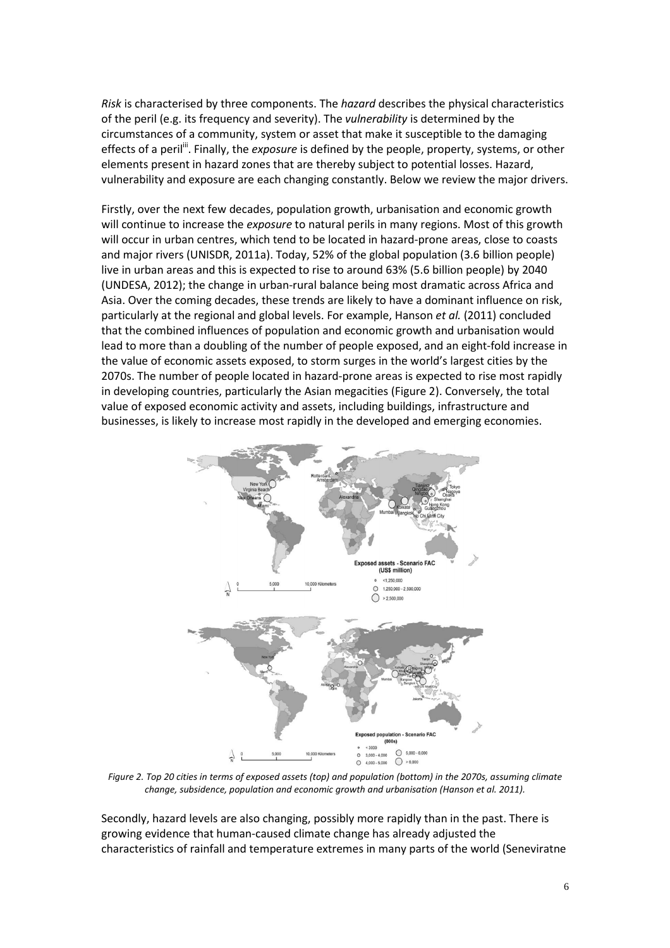*Risk* is characterised by three components. The *hazard* describes the physical characteristics of the peril (e.g. its frequency and severity). The *vulnerability* is determined by the circumstances of a community, system or asset that make it susceptible to the damaging effects of a peril<sup>ii</sup>. Finally, the *exposure* is defined by the people, property, systems, or other elements present in hazard zones that are thereby subject to potential losses. Hazard, vulnerability and exposure are each changing constantly. Below we review the major drivers.

Firstly, over the next few decades, population growth, urbanisation and economic growth will continue to increase the *exposure* to natural perils in many regions. Most of this growth will occur in urban centres, which tend to be located in hazard-prone areas, close to coasts and major rivers (UNISDR, 2011a). Today, 52% of the global population (3.6 billion people) live in urban areas and this is expected to rise to around 63% (5.6 billion people) by 2040 (UNDESA, 2012); the change in urban-rural balance being most dramatic across Africa and Asia. Over the coming decades, these trends are likely to have a dominant influence on risk, particularly at the regional and global levels. For example, Hanson *et al.* (2011) concluded that the combined influences of population and economic growth and urbanisation would lead to more than a doubling of the number of people exposed, and an eight-fold increase in the value of economic assets exposed, to storm surges in the world's largest cities by the 2070s. The number of people located in hazard-prone areas is expected to rise most rapidly in developing countries, particularly the Asian megacities (Figure 2). Conversely, the total value of exposed economic activity and assets, including buildings, infrastructure and businesses, is likely to increase most rapidly in the developed and emerging economies.



*Figure 2. Top 20 cities in terms of exposed assets (top) and population (bottom) in the 2070s, assuming climate change, subsidence, population and economic growth and urbanisation (Hanson et al. 2011).* 

Secondly, hazard levels are also changing, possibly more rapidly than in the past. There is growing evidence that human-caused climate change has already adjusted the characteristics of rainfall and temperature extremes in many parts of the world (Seneviratne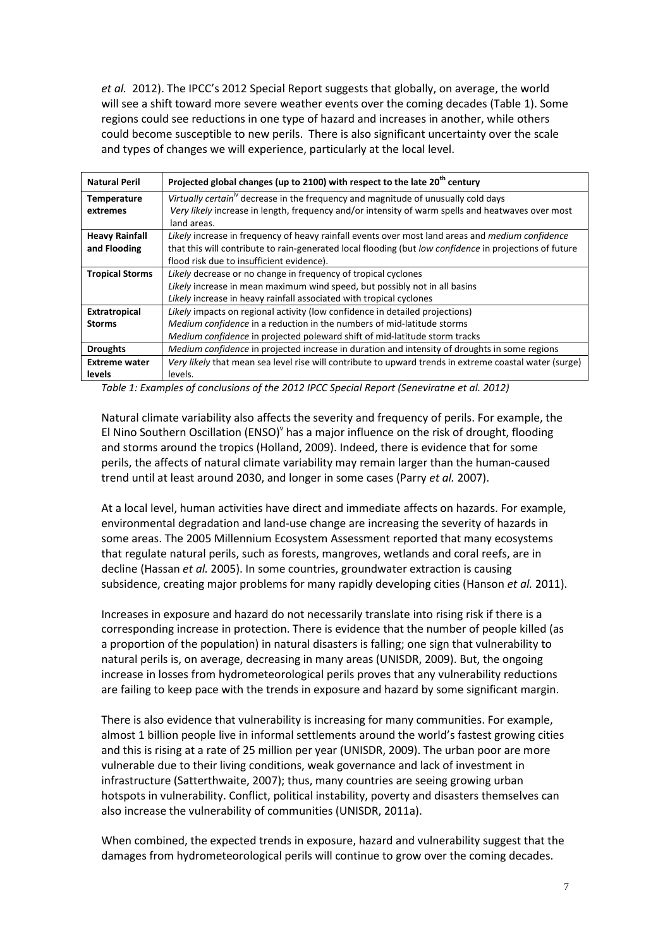*et al.* 2012). The IPCC's 2012 Special Report suggests that globally, on average, the world will see a shift toward more severe weather events over the coming decades (Table 1). Some regions could see reductions in one type of hazard and increases in another, while others could become susceptible to new perils. There is also significant uncertainty over the scale and types of changes we will experience, particularly at the local level.

| <b>Natural Peril</b>   | Projected global changes (up to 2100) with respect to the late 20 <sup>th</sup> century                 |
|------------------------|---------------------------------------------------------------------------------------------------------|
| <b>Temperature</b>     | Virtually certain <sup>"</sup> decrease in the frequency and magnitude of unusually cold days           |
| extremes               | Very likely increase in length, frequency and/or intensity of warm spells and heatwaves over most       |
|                        | land areas.                                                                                             |
| <b>Heavy Rainfall</b>  | Likely increase in frequency of heavy rainfall events over most land areas and medium confidence        |
| and Flooding           | that this will contribute to rain-generated local flooding (but low confidence in projections of future |
|                        | flood risk due to insufficient evidence).                                                               |
| <b>Tropical Storms</b> | Likely decrease or no change in frequency of tropical cyclones                                          |
|                        | Likely increase in mean maximum wind speed, but possibly not in all basins                              |
|                        | Likely increase in heavy rainfall associated with tropical cyclones                                     |
| <b>Extratropical</b>   | Likely impacts on regional activity (low confidence in detailed projections)                            |
| <b>Storms</b>          | <i>Medium confidence</i> in a reduction in the numbers of mid-latitude storms                           |
|                        | Medium confidence in projected poleward shift of mid-latitude storm tracks                              |
| <b>Droughts</b>        | <i>Medium confidence</i> in projected increase in duration and intensity of droughts in some regions    |
| <b>Extreme water</b>   | Very likely that mean sea level rise will contribute to upward trends in extreme coastal water (surge)  |
| levels                 | levels.                                                                                                 |

*Table 1: Examples of conclusions of the 2012 IPCC Special Report (Seneviratne et al. 2012)* 

Natural climate variability also affects the severity and frequency of perils. For example, the El Nino Southern Oscillation (ENSO)<sup>Y</sup> has a major influence on the risk of drought, flooding and storms around the tropics (Holland, 2009). Indeed, there is evidence that for some perils, the affects of natural climate variability may remain larger than the human-caused trend until at least around 2030, and longer in some cases (Parry *et al.* 2007).

At a local level, human activities have direct and immediate affects on hazards. For example, environmental degradation and land-use change are increasing the severity of hazards in some areas. The 2005 Millennium Ecosystem Assessment reported that many ecosystems that regulate natural perils, such as forests, mangroves, wetlands and coral reefs, are in decline (Hassan *et al.* 2005). In some countries, groundwater extraction is causing subsidence, creating major problems for many rapidly developing cities (Hanson *et al.* 2011).

Increases in exposure and hazard do not necessarily translate into rising risk if there is a corresponding increase in protection. There is evidence that the number of people killed (as a proportion of the population) in natural disasters is falling; one sign that vulnerability to natural perils is, on average, decreasing in many areas (UNISDR, 2009). But, the ongoing increase in losses from hydrometeorological perils proves that any vulnerability reductions are failing to keep pace with the trends in exposure and hazard by some significant margin.

There is also evidence that vulnerability is increasing for many communities. For example, almost 1 billion people live in informal settlements around the world's fastest growing cities and this is rising at a rate of 25 million per year (UNISDR, 2009). The urban poor are more vulnerable due to their living conditions, weak governance and lack of investment in infrastructure (Satterthwaite, 2007); thus, many countries are seeing growing urban hotspots in vulnerability. Conflict, political instability, poverty and disasters themselves can also increase the vulnerability of communities (UNISDR, 2011a).

When combined, the expected trends in exposure, hazard and vulnerability suggest that the damages from hydrometeorological perils will continue to grow over the coming decades.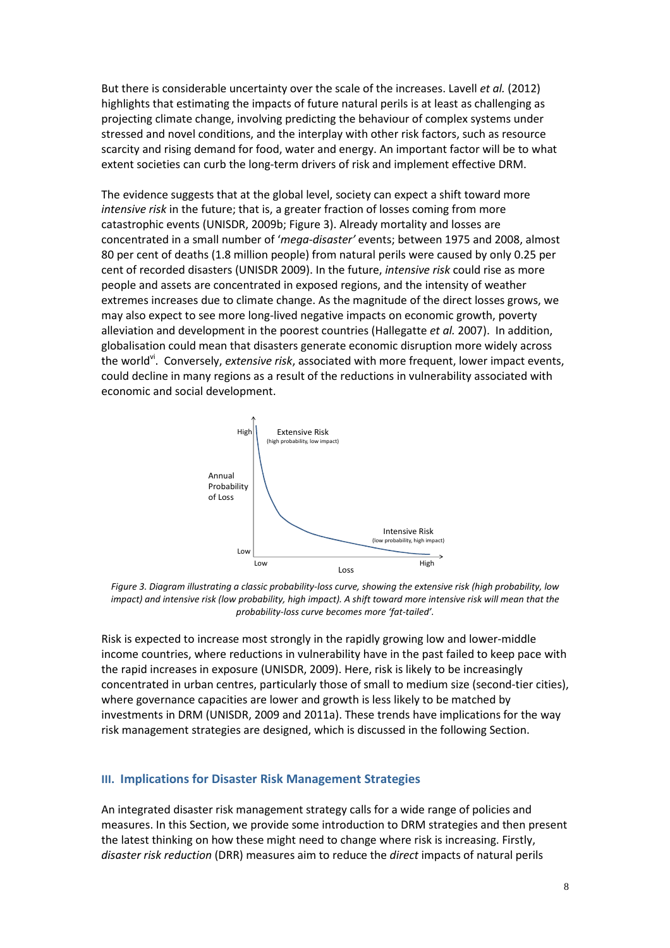But there is considerable uncertainty over the scale of the increases. Lavell *et al.* (2012) highlights that estimating the impacts of future natural perils is at least as challenging as projecting climate change, involving predicting the behaviour of complex systems under stressed and novel conditions, and the interplay with other risk factors, such as resource scarcity and rising demand for food, water and energy. An important factor will be to what extent societies can curb the long-term drivers of risk and implement effective DRM.

The evidence suggests that at the global level, society can expect a shift toward more *intensive risk* in the future; that is, a greater fraction of losses coming from more catastrophic events (UNISDR, 2009b; Figure 3). Already mortality and losses are concentrated in a small number of '*mega-disaster'* events; between 1975 and 2008, almost 80 per cent of deaths (1.8 million people) from natural perils were caused by only 0.25 per cent of recorded disasters (UNISDR 2009). In the future, *intensive risk* could rise as more people and assets are concentrated in exposed regions, and the intensity of weather extremes increases due to climate change. As the magnitude of the direct losses grows, we may also expect to see more long-lived negative impacts on economic growth, poverty alleviation and development in the poorest countries (Hallegatte *et al.* 2007). In addition, globalisation could mean that disasters generate economic disruption more widely across the worldvi. Conversely, *extensive risk*, associated with more frequent, lower impact events, could decline in many regions as a result of the reductions in vulnerability associated with economic and social development.



*Figure 3. Diagram illustrating a classic probability-loss curve, showing the extensive risk (high probability, low impact) and intensive risk (low probability, high impact). A shift toward more intensive risk will mean that the probability-loss curve becomes more 'fat-tailed'.* 

Risk is expected to increase most strongly in the rapidly growing low and lower-middle income countries, where reductions in vulnerability have in the past failed to keep pace with the rapid increases in exposure (UNISDR, 2009). Here, risk is likely to be increasingly concentrated in urban centres, particularly those of small to medium size (second-tier cities), where governance capacities are lower and growth is less likely to be matched by investments in DRM (UNISDR, 2009 and 2011a). These trends have implications for the way risk management strategies are designed, which is discussed in the following Section.

#### **III. Implications for Disaster Risk Management Strategies**

An integrated disaster risk management strategy calls for a wide range of policies and measures. In this Section, we provide some introduction to DRM strategies and then present the latest thinking on how these might need to change where risk is increasing. Firstly, *disaster risk reduction* (DRR) measures aim to reduce the *direct* impacts of natural perils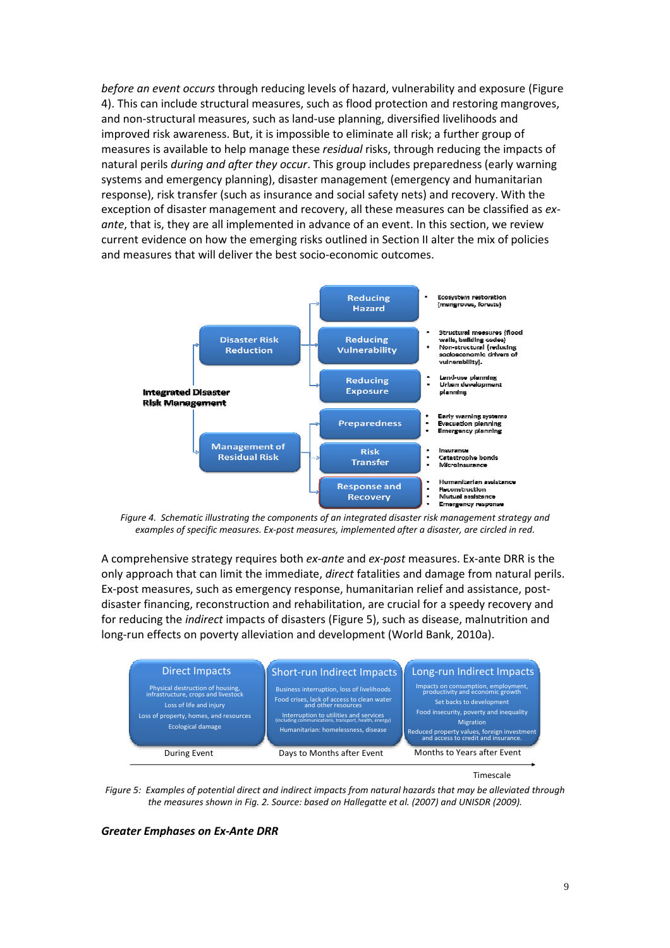*before an event occurs* through reducing levels of hazard, vulnerability and exposure (Figure 4). This can include structural measures, such as flood protection and restoring mangroves, and non-structural measures, such as land-use planning, diversified livelihoods and improved risk awareness. But, it is impossible to eliminate all risk; a further group of measures is available to help manage these *residual* risks, through reducing the impacts of natural perils *during and after they occur*. This group includes preparedness (early warning systems and emergency planning), disaster management (emergency and humanitarian response), risk transfer (such as insurance and social safety nets) and recovery. With the exception of disaster management and recovery, all these measures can be classified as *exante*, that is, they are all implemented in advance of an event. In this section, we review current evidence on how the emerging risks outlined in Section II alter the mix of policies and measures that will deliver the best socio-economic outcomes.



*Figure 4. Schematic illustrating the components of an integrated disaster risk management strategy and examples of specific measures. Ex-post measures, implemented after a disaster, are circled in red.* 

A comprehensive strategy requires both *ex-ante* and *ex-post* measures. Ex-ante DRR is the only approach that can limit the immediate, *direct* fatalities and damage from natural perils. Ex-post measures, such as emergency response, humanitarian relief and assistance, postdisaster financing, reconstruction and rehabilitation, are crucial for a speedy recovery and for reducing the *indirect* impacts of disasters (Figure 5), such as disease, malnutrition and long-run effects on poverty alleviation and development (World Bank, 2010a).



Timescale

*Figure 5: Examples of potential direct and indirect impacts from natural hazards that may be alleviated through the measures shown in Fig. 2. Source: based on Hallegatte et al. (2007) and UNISDR (2009).* 

#### *Greater Emphases on Ex-Ante DRR*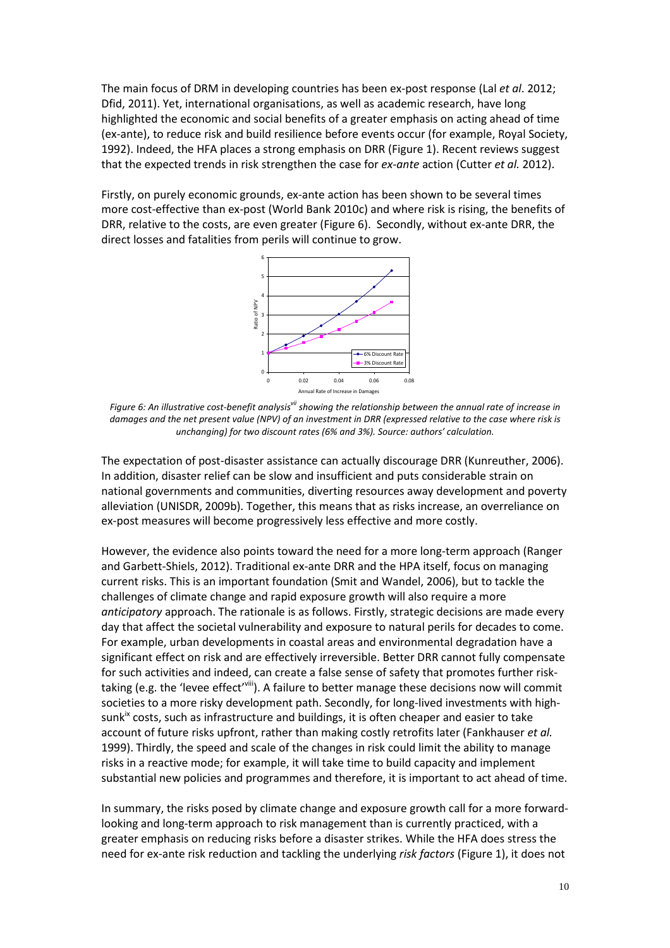The main focus of DRM in developing countries has been ex-post response (Lal *et al*. 2012; Dfid, 2011). Yet, international organisations, as well as academic research, have long highlighted the economic and social benefits of a greater emphasis on acting ahead of time (ex-ante), to reduce risk and build resilience before events occur (for example, Royal Society, 1992). Indeed, the HFA places a strong emphasis on DRR (Figure 1). Recent reviews suggest that the expected trends in risk strengthen the case for *ex-ante* action (Cutter *et al.* 2012).

Firstly, on purely economic grounds, ex-ante action has been shown to be several times more cost-effective than ex-post (World Bank 2010c) and where risk is rising, the benefits of DRR, relative to the costs, are even greater (Figure 6). Secondly, without ex-ante DRR, the direct losses and fatalities from perils will continue to grow.



*Figure 6: An illustrative cost-benefit analysisvii showing the relationship between the annual rate of increase in damages and the net present value (NPV) of an investment in DRR (expressed relative to the case where risk is unchanging) for two discount rates (6% and 3%). Source: authors' calculation.* 

The expectation of post-disaster assistance can actually discourage DRR (Kunreuther, 2006). In addition, disaster relief can be slow and insufficient and puts considerable strain on national governments and communities, diverting resources away development and poverty alleviation (UNISDR, 2009b). Together, this means that as risks increase, an overreliance on ex-post measures will become progressively less effective and more costly.

However, the evidence also points toward the need for a more long-term approach (Ranger and Garbett-Shiels, 2012). Traditional ex-ante DRR and the HPA itself, focus on managing current risks. This is an important foundation (Smit and Wandel, 2006), but to tackle the challenges of climate change and rapid exposure growth will also require a more *anticipatory* approach. The rationale is as follows. Firstly, strategic decisions are made every day that affect the societal vulnerability and exposure to natural perils for decades to come. For example, urban developments in coastal areas and environmental degradation have a significant effect on risk and are effectively irreversible. Better DRR cannot fully compensate for such activities and indeed, can create a false sense of safety that promotes further risktaking (e.g. the 'levee effect'<sup>viii</sup>). A failure to better manage these decisions now will commit societies to a more risky development path. Secondly, for long-lived investments with high $sunk<sup>ix</sup> costs, such as infrastructure and buildings, it is often cheaper and easier to take$ account of future risks upfront, rather than making costly retrofits later (Fankhauser *et al.*  1999). Thirdly, the speed and scale of the changes in risk could limit the ability to manage risks in a reactive mode; for example, it will take time to build capacity and implement substantial new policies and programmes and therefore, it is important to act ahead of time.

In summary, the risks posed by climate change and exposure growth call for a more forwardlooking and long-term approach to risk management than is currently practiced, with a greater emphasis on reducing risks before a disaster strikes. While the HFA does stress the need for ex-ante risk reduction and tackling the underlying *risk factors* (Figure 1), it does not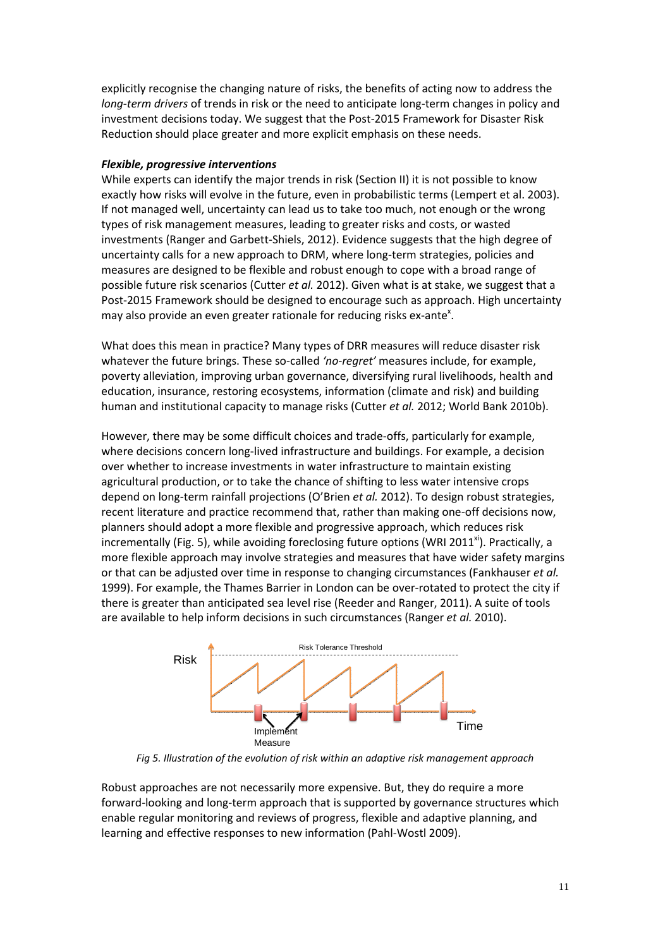explicitly recognise the changing nature of risks, the benefits of acting now to address the *long-term drivers* of trends in risk or the need to anticipate long-term changes in policy and investment decisions today. We suggest that the Post-2015 Framework for Disaster Risk Reduction should place greater and more explicit emphasis on these needs.

#### *Flexible, progressive interventions*

While experts can identify the major trends in risk (Section II) it is not possible to know exactly how risks will evolve in the future, even in probabilistic terms (Lempert et al. 2003). If not managed well, uncertainty can lead us to take too much, not enough or the wrong types of risk management measures, leading to greater risks and costs, or wasted investments (Ranger and Garbett-Shiels, 2012). Evidence suggests that the high degree of uncertainty calls for a new approach to DRM, where long-term strategies, policies and measures are designed to be flexible and robust enough to cope with a broad range of possible future risk scenarios (Cutter *et al.* 2012). Given what is at stake, we suggest that a Post-2015 Framework should be designed to encourage such as approach. High uncertainty may also provide an even greater rationale for reducing risks ex-ante<sup>x</sup>.

What does this mean in practice? Many types of DRR measures will reduce disaster risk whatever the future brings. These so-called *'no-regret'* measures include, for example, poverty alleviation, improving urban governance, diversifying rural livelihoods, health and education, insurance, restoring ecosystems, information (climate and risk) and building human and institutional capacity to manage risks (Cutter *et al.* 2012; World Bank 2010b).

However, there may be some difficult choices and trade-offs, particularly for example, where decisions concern long-lived infrastructure and buildings. For example, a decision over whether to increase investments in water infrastructure to maintain existing agricultural production, or to take the chance of shifting to less water intensive crops depend on long-term rainfall projections (O'Brien *et al.* 2012). To design robust strategies, recent literature and practice recommend that, rather than making one-off decisions now, planners should adopt a more flexible and progressive approach, which reduces risk incrementally (Fig. 5), while avoiding foreclosing future options (WRI 2011<sup>xi</sup>). Practically, a more flexible approach may involve strategies and measures that have wider safety margins or that can be adjusted over time in response to changing circumstances (Fankhauser *et al.* 1999). For example, the Thames Barrier in London can be over-rotated to protect the city if there is greater than anticipated sea level rise (Reeder and Ranger, 2011). A suite of tools are available to help inform decisions in such circumstances (Ranger *et al.* 2010).



*Fig 5. Illustration of the evolution of risk within an adaptive risk management approach* 

Robust approaches are not necessarily more expensive. But, they do require a more forward-looking and long-term approach that is supported by governance structures which enable regular monitoring and reviews of progress, flexible and adaptive planning, and learning and effective responses to new information (Pahl-Wostl 2009).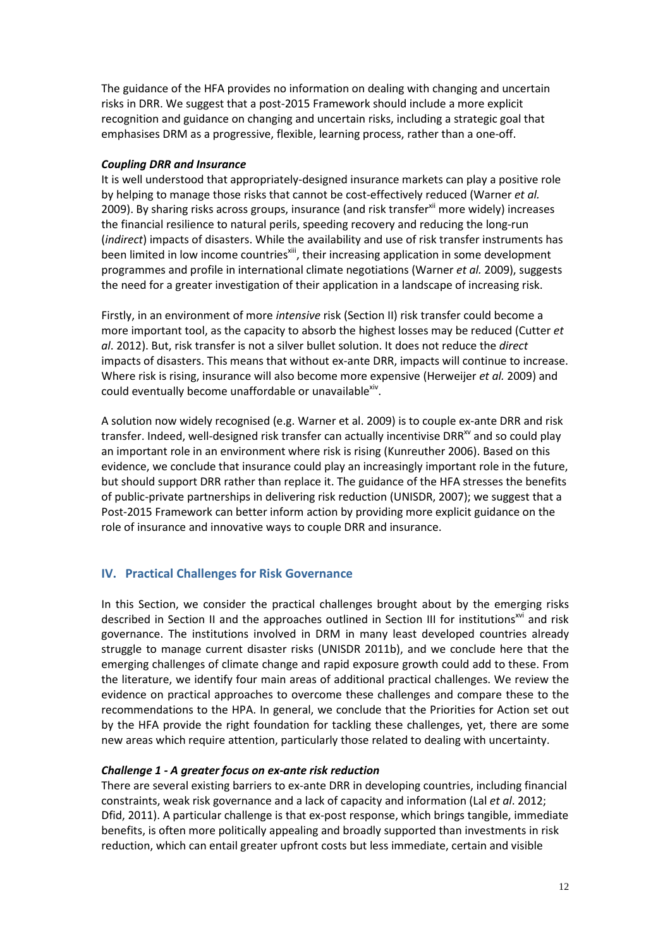The guidance of the HFA provides no information on dealing with changing and uncertain risks in DRR. We suggest that a post-2015 Framework should include a more explicit recognition and guidance on changing and uncertain risks, including a strategic goal that emphasises DRM as a progressive, flexible, learning process, rather than a one-off.

#### *Coupling DRR and Insurance*

It is well understood that appropriately-designed insurance markets can play a positive role by helping to manage those risks that cannot be cost-effectively reduced (Warner *et al.* 2009). By sharing risks across groups, insurance (and risk transfer<sup>xii</sup> more widely) increases the financial resilience to natural perils, speeding recovery and reducing the long-run (*indirect*) impacts of disasters. While the availability and use of risk transfer instruments has been limited in low income countries<sup>xiii</sup>, their increasing application in some development programmes and profile in international climate negotiations (Warner *et al.* 2009), suggests the need for a greater investigation of their application in a landscape of increasing risk.

Firstly, in an environment of more *intensive* risk (Section II) risk transfer could become a more important tool, as the capacity to absorb the highest losses may be reduced (Cutter *et al*. 2012). But, risk transfer is not a silver bullet solution. It does not reduce the *direct* impacts of disasters. This means that without ex-ante DRR, impacts will continue to increase. Where risk is rising, insurance will also become more expensive (Herweijer *et al.* 2009) and could eventually become unaffordable or unavailable<sup>xiv</sup>.

A solution now widely recognised (e.g. Warner et al. 2009) is to couple ex-ante DRR and risk transfer. Indeed, well-designed risk transfer can actually incentivise DRR $^{xy}$  and so could play an important role in an environment where risk is rising (Kunreuther 2006). Based on this evidence, we conclude that insurance could play an increasingly important role in the future, but should support DRR rather than replace it. The guidance of the HFA stresses the benefits of public-private partnerships in delivering risk reduction (UNISDR, 2007); we suggest that a Post-2015 Framework can better inform action by providing more explicit guidance on the role of insurance and innovative ways to couple DRR and insurance.

## **IV. Practical Challenges for Risk Governance**

In this Section, we consider the practical challenges brought about by the emerging risks described in Section II and the approaches outlined in Section III for institutions<sup>xvi</sup> and risk governance. The institutions involved in DRM in many least developed countries already struggle to manage current disaster risks (UNISDR 2011b), and we conclude here that the emerging challenges of climate change and rapid exposure growth could add to these. From the literature, we identify four main areas of additional practical challenges. We review the evidence on practical approaches to overcome these challenges and compare these to the recommendations to the HPA. In general, we conclude that the Priorities for Action set out by the HFA provide the right foundation for tackling these challenges, yet, there are some new areas which require attention, particularly those related to dealing with uncertainty.

### *Challenge 1 - A greater focus on ex-ante risk reduction*

There are several existing barriers to ex-ante DRR in developing countries, including financial constraints, weak risk governance and a lack of capacity and information (Lal *et al*. 2012; Dfid, 2011). A particular challenge is that ex-post response, which brings tangible, immediate benefits, is often more politically appealing and broadly supported than investments in risk reduction, which can entail greater upfront costs but less immediate, certain and visible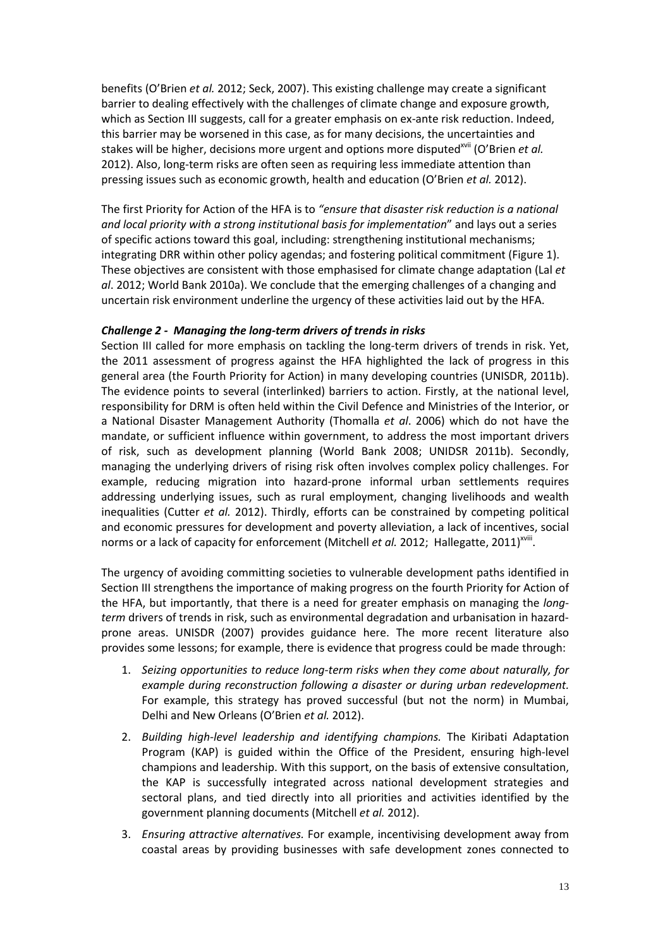benefits (O'Brien *et al.* 2012; Seck, 2007). This existing challenge may create a significant barrier to dealing effectively with the challenges of climate change and exposure growth, which as Section III suggests, call for a greater emphasis on ex-ante risk reduction. Indeed, this barrier may be worsened in this case, as for many decisions, the uncertainties and stakes will be higher, decisions more urgent and options more disputed<sup>xvii</sup> (O'Brien *et al.*) 2012). Also, long-term risks are often seen as requiring less immediate attention than pressing issues such as economic growth, health and education (O'Brien *et al.* 2012).

The first Priority for Action of the HFA is to *"ensure that disaster risk reduction is a national and local priority with a strong institutional basis for implementation*" and lays out a series of specific actions toward this goal, including: strengthening institutional mechanisms; integrating DRR within other policy agendas; and fostering political commitment (Figure 1). These objectives are consistent with those emphasised for climate change adaptation (Lal *et al*. 2012; World Bank 2010a). We conclude that the emerging challenges of a changing and uncertain risk environment underline the urgency of these activities laid out by the HFA.

# *Challenge 2 - Managing the long-term drivers of trends in risks*

Section III called for more emphasis on tackling the long-term drivers of trends in risk. Yet, the 2011 assessment of progress against the HFA highlighted the lack of progress in this general area (the Fourth Priority for Action) in many developing countries (UNISDR, 2011b). The evidence points to several (interlinked) barriers to action. Firstly, at the national level, responsibility for DRM is often held within the Civil Defence and Ministries of the Interior, or a National Disaster Management Authority (Thomalla *et al*. 2006) which do not have the mandate, or sufficient influence within government, to address the most important drivers of risk, such as development planning (World Bank 2008; UNIDSR 2011b). Secondly, managing the underlying drivers of rising risk often involves complex policy challenges. For example, reducing migration into hazard-prone informal urban settlements requires addressing underlying issues, such as rural employment, changing livelihoods and wealth inequalities (Cutter *et al.* 2012). Thirdly, efforts can be constrained by competing political and economic pressures for development and poverty alleviation, a lack of incentives, social norms or a lack of capacity for enforcement (Mitchell *et al.* 2012; Hallegatte, 2011)<sup>xviii</sup>.

The urgency of avoiding committing societies to vulnerable development paths identified in Section III strengthens the importance of making progress on the fourth Priority for Action of the HFA, but importantly, that there is a need for greater emphasis on managing the *longterm* drivers of trends in risk, such as environmental degradation and urbanisation in hazardprone areas. UNISDR (2007) provides guidance here. The more recent literature also provides some lessons; for example, there is evidence that progress could be made through:

- 1. *Seizing opportunities to reduce long-term risks when they come about naturally, for example during reconstruction following a disaster or during urban redevelopment.* For example, this strategy has proved successful (but not the norm) in Mumbai, Delhi and New Orleans (O'Brien *et al.* 2012).
- 2. *Building high-level leadership and identifying champions.* The Kiribati Adaptation Program (KAP) is guided within the Office of the President, ensuring high-level champions and leadership. With this support, on the basis of extensive consultation, the KAP is successfully integrated across national development strategies and sectoral plans, and tied directly into all priorities and activities identified by the government planning documents (Mitchell *et al.* 2012).
- 3. *Ensuring attractive alternatives.* For example, incentivising development away from coastal areas by providing businesses with safe development zones connected to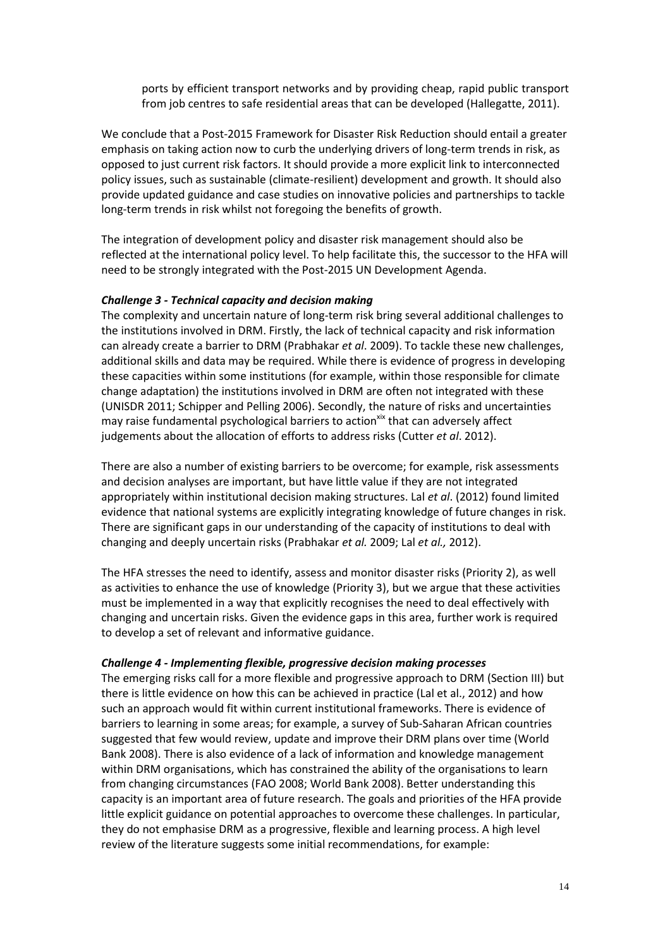ports by efficient transport networks and by providing cheap, rapid public transport from job centres to safe residential areas that can be developed (Hallegatte, 2011).

We conclude that a Post-2015 Framework for Disaster Risk Reduction should entail a greater emphasis on taking action now to curb the underlying drivers of long-term trends in risk, as opposed to just current risk factors. It should provide a more explicit link to interconnected policy issues, such as sustainable (climate-resilient) development and growth. It should also provide updated guidance and case studies on innovative policies and partnerships to tackle long-term trends in risk whilst not foregoing the benefits of growth.

The integration of development policy and disaster risk management should also be reflected at the international policy level. To help facilitate this, the successor to the HFA will need to be strongly integrated with the Post-2015 UN Development Agenda.

#### *Challenge 3 - Technical capacity and decision making*

The complexity and uncertain nature of long-term risk bring several additional challenges to the institutions involved in DRM. Firstly, the lack of technical capacity and risk information can already create a barrier to DRM (Prabhakar *et al*. 2009). To tackle these new challenges, additional skills and data may be required. While there is evidence of progress in developing these capacities within some institutions (for example, within those responsible for climate change adaptation) the institutions involved in DRM are often not integrated with these (UNISDR 2011; Schipper and Pelling 2006). Secondly, the nature of risks and uncertainties may raise fundamental psychological barriers to action<sup>xix</sup> that can adversely affect judgements about the allocation of efforts to address risks (Cutter *et al*. 2012).

There are also a number of existing barriers to be overcome; for example, risk assessments and decision analyses are important, but have little value if they are not integrated appropriately within institutional decision making structures. Lal *et al*. (2012) found limited evidence that national systems are explicitly integrating knowledge of future changes in risk. There are significant gaps in our understanding of the capacity of institutions to deal with changing and deeply uncertain risks (Prabhakar *et al.* 2009; Lal *et al.,* 2012).

The HFA stresses the need to identify, assess and monitor disaster risks (Priority 2), as well as activities to enhance the use of knowledge (Priority 3), but we argue that these activities must be implemented in a way that explicitly recognises the need to deal effectively with changing and uncertain risks. Given the evidence gaps in this area, further work is required to develop a set of relevant and informative guidance.

#### *Challenge 4 - Implementing flexible, progressive decision making processes*

The emerging risks call for a more flexible and progressive approach to DRM (Section III) but there is little evidence on how this can be achieved in practice (Lal et al., 2012) and how such an approach would fit within current institutional frameworks. There is evidence of barriers to learning in some areas; for example, a survey of Sub-Saharan African countries suggested that few would review, update and improve their DRM plans over time (World Bank 2008). There is also evidence of a lack of information and knowledge management within DRM organisations, which has constrained the ability of the organisations to learn from changing circumstances (FAO 2008; World Bank 2008). Better understanding this capacity is an important area of future research. The goals and priorities of the HFA provide little explicit guidance on potential approaches to overcome these challenges. In particular, they do not emphasise DRM as a progressive, flexible and learning process. A high level review of the literature suggests some initial recommendations, for example: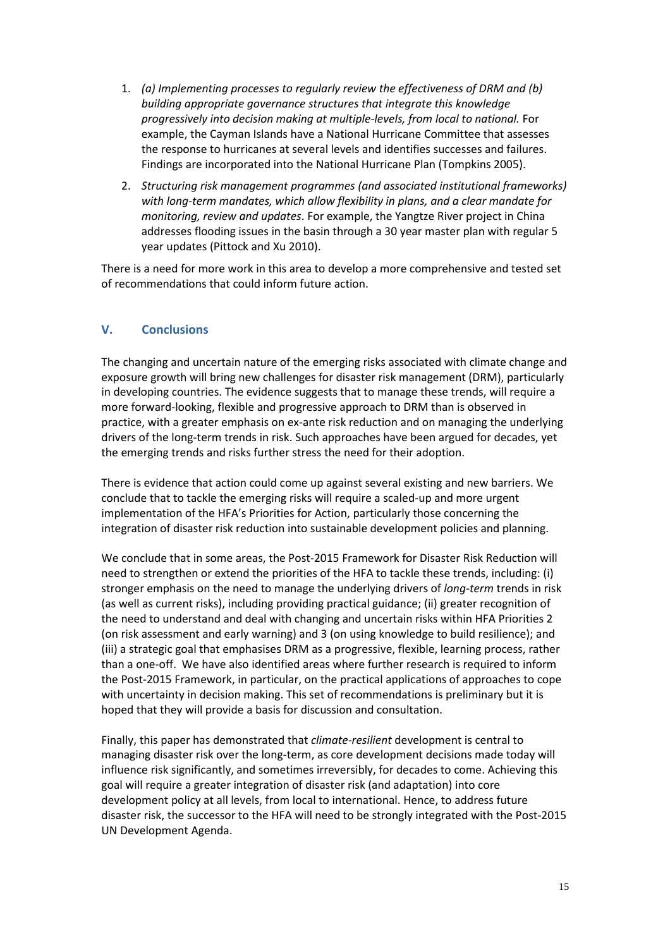- 1. *(a) Implementing processes to regularly review the effectiveness of DRM and (b) building appropriate governance structures that integrate this knowledge progressively into decision making at multiple-levels, from local to national.* For example, the Cayman Islands have a National Hurricane Committee that assesses the response to hurricanes at several levels and identifies successes and failures. Findings are incorporated into the National Hurricane Plan (Tompkins 2005).
- 2. *Structuring risk management programmes (and associated institutional frameworks) with long-term mandates, which allow flexibility in plans, and a clear mandate for monitoring, review and updates*. For example, the Yangtze River project in China addresses flooding issues in the basin through a 30 year master plan with regular 5 year updates (Pittock and Xu 2010).

There is a need for more work in this area to develop a more comprehensive and tested set of recommendations that could inform future action.

# **V. Conclusions**

The changing and uncertain nature of the emerging risks associated with climate change and exposure growth will bring new challenges for disaster risk management (DRM), particularly in developing countries. The evidence suggests that to manage these trends, will require a more forward-looking, flexible and progressive approach to DRM than is observed in practice, with a greater emphasis on ex-ante risk reduction and on managing the underlying drivers of the long-term trends in risk. Such approaches have been argued for decades, yet the emerging trends and risks further stress the need for their adoption.

There is evidence that action could come up against several existing and new barriers. We conclude that to tackle the emerging risks will require a scaled-up and more urgent implementation of the HFA's Priorities for Action, particularly those concerning the integration of disaster risk reduction into sustainable development policies and planning.

We conclude that in some areas, the Post-2015 Framework for Disaster Risk Reduction will need to strengthen or extend the priorities of the HFA to tackle these trends, including: (i) stronger emphasis on the need to manage the underlying drivers of *long-term* trends in risk (as well as current risks), including providing practical guidance; (ii) greater recognition of the need to understand and deal with changing and uncertain risks within HFA Priorities 2 (on risk assessment and early warning) and 3 (on using knowledge to build resilience); and (iii) a strategic goal that emphasises DRM as a progressive, flexible, learning process, rather than a one-off. We have also identified areas where further research is required to inform the Post-2015 Framework, in particular, on the practical applications of approaches to cope with uncertainty in decision making. This set of recommendations is preliminary but it is hoped that they will provide a basis for discussion and consultation.

Finally, this paper has demonstrated that *climate-resilient* development is central to managing disaster risk over the long-term, as core development decisions made today will influence risk significantly, and sometimes irreversibly, for decades to come. Achieving this goal will require a greater integration of disaster risk (and adaptation) into core development policy at all levels, from local to international. Hence, to address future disaster risk, the successor to the HFA will need to be strongly integrated with the Post-2015 UN Development Agenda.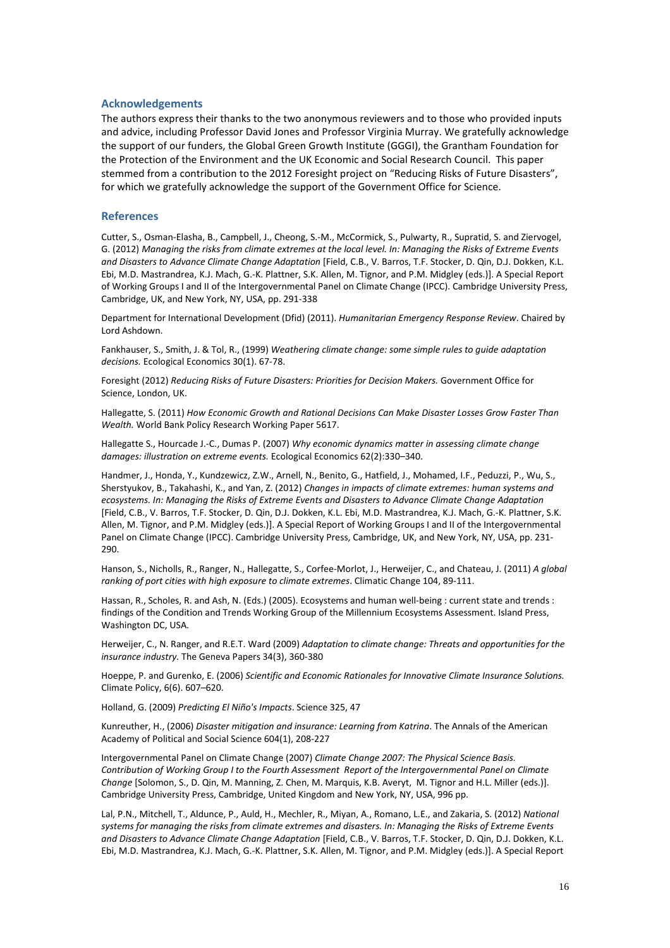#### **Acknowledgements**

The authors express their thanks to the two anonymous reviewers and to those who provided inputs and advice, including Professor David Jones and Professor Virginia Murray. We gratefully acknowledge the support of our funders, the Global Green Growth Institute (GGGI), the Grantham Foundation for the Protection of the Environment and the UK Economic and Social Research Council. This paper stemmed from a contribution to the 2012 Foresight project on "Reducing Risks of Future Disasters", for which we gratefully acknowledge the support of the Government Office for Science.

#### **References**

Cutter, S., Osman-Elasha, B., Campbell, J., Cheong, S.-M., McCormick, S., Pulwarty, R., Supratid, S. and Ziervogel, G. (2012) *Managing the risks from climate extremes at the local level. In: Managing the Risks of Extreme Events and Disasters to Advance Climate Change Adaptation* [Field, C.B., V. Barros, T.F. Stocker, D. Qin, D.J. Dokken, K.L. Ebi, M.D. Mastrandrea, K.J. Mach, G.-K. Plattner, S.K. Allen, M. Tignor, and P.M. Midgley (eds.)]. A Special Report of Working Groups I and II of the Intergovernmental Panel on Climate Change (IPCC). Cambridge University Press, Cambridge, UK, and New York, NY, USA, pp. 291-338

Department for International Development (Dfid) (2011). *Humanitarian Emergency Response Review*. Chaired by Lord Ashdown.

Fankhauser, S., Smith, J. & Tol, R., (1999) *Weathering climate change: some simple rules to guide adaptation decisions.* Ecological Economics 30(1). 67-78.

Foresight (2012) *Reducing Risks of Future Disasters: Priorities for Decision Makers.* Government Office for Science, London, UK.

Hallegatte, S. (2011) *How Economic Growth and Rational Decisions Can Make Disaster Losses Grow Faster Than Wealth.* World Bank Policy Research Working Paper 5617.

Hallegatte S., Hourcade J.-C., Dumas P. (2007) *Why economic dynamics matter in assessing climate change damages: illustration on extreme events.* Ecological Economics 62(2):330–340.

Handmer, J., Honda, Y., Kundzewicz, Z.W., Arnell, N., Benito, G., Hatfield, J., Mohamed, I.F., Peduzzi, P., Wu, S., Sherstyukov, B., Takahashi, K., and Yan, Z. (2012) *Changes in impacts of climate extremes: human systems and ecosystems. In: Managing the Risks of Extreme Events and Disasters to Advance Climate Change Adaptation* [Field, C.B., V. Barros, T.F. Stocker, D. Qin, D.J. Dokken, K.L. Ebi, M.D. Mastrandrea, K.J. Mach, G.-K. Plattner, S.K. Allen, M. Tignor, and P.M. Midgley (eds.)]. A Special Report of Working Groups I and II of the Intergovernmental Panel on Climate Change (IPCC). Cambridge University Press, Cambridge, UK, and New York, NY, USA, pp. 231- 290.

Hanson, S., Nicholls, R., Ranger, N., Hallegatte, S., Corfee-Morlot, J., Herweijer, C., and Chateau, J. (2011) *A global ranking of port cities with high exposure to climate extremes*. Climatic Change 104, 89-111.

Hassan, R., Scholes, R. and Ash, N. (Eds.) (2005). Ecosystems and human well-being : current state and trends : findings of the Condition and Trends Working Group of the Millennium Ecosystems Assessment. Island Press, Washington DC, USA.

Herweijer, C., N. Ranger, and R.E.T. Ward (2009) *Adaptation to climate change: Threats and opportunities for the insurance industry.* The Geneva Papers 34(3), 360-380

Hoeppe, P. and Gurenko, E. (2006) *Scientific and Economic Rationales for Innovative Climate Insurance Solutions.* Climate Policy, 6(6). 607–620.

Holland, G. (2009) *Predicting El Niño's Impacts*. Science 325, 47

Kunreuther, H., (2006) *Disaster mitigation and insurance: Learning from Katrina*. The Annals of the American Academy of Political and Social Science 604(1), 208-227

Intergovernmental Panel on Climate Change (2007) *Climate Change 2007: The Physical Science Basis. Contribution of Working Group I to the Fourth Assessment Report of the Intergovernmental Panel on Climate Change* [Solomon, S., D. Qin, M. Manning, Z. Chen, M. Marquis, K.B. Averyt, M. Tignor and H.L. Miller (eds.)]. Cambridge University Press, Cambridge, United Kingdom and New York, NY, USA, 996 pp.

Lal, P.N., Mitchell, T., Aldunce, P., Auld, H., Mechler, R., Miyan, A., Romano, L.E., and Zakaria, S. (2012) *National systems for managing the risks from climate extremes and disasters. In: Managing the Risks of Extreme Events and Disasters to Advance Climate Change Adaptation* [Field, C.B., V. Barros, T.F. Stocker, D. Qin, D.J. Dokken, K.L. Ebi, M.D. Mastrandrea, K.J. Mach, G.-K. Plattner, S.K. Allen, M. Tignor, and P.M. Midgley (eds.)]. A Special Report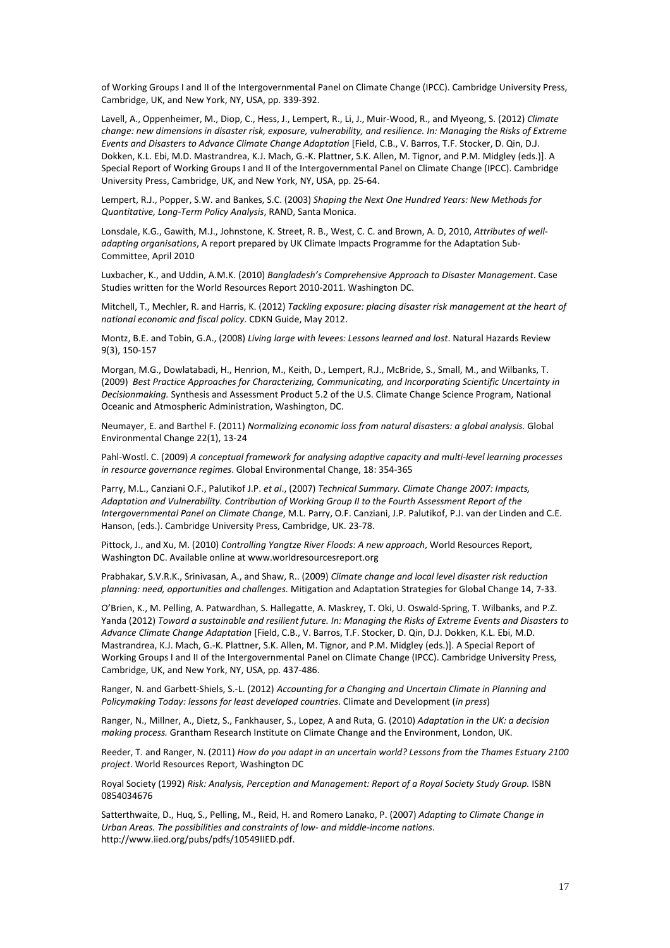of Working Groups I and II of the Intergovernmental Panel on Climate Change (IPCC). Cambridge University Press, Cambridge, UK, and New York, NY, USA, pp. 339-392.

Lavell, A., Oppenheimer, M., Diop, C., Hess, J., Lempert, R., Li, J., Muir-Wood, R., and Myeong, S. (2012) *Climate change: new dimensions in disaster risk, exposure, vulnerability, and resilience. In: Managing the Risks of Extreme Events and Disasters to Advance Climate Change Adaptation* [Field, C.B., V. Barros, T.F. Stocker, D. Qin, D.J. Dokken, K.L. Ebi, M.D. Mastrandrea, K.J. Mach, G.-K. Plattner, S.K. Allen, M. Tignor, and P.M. Midgley (eds.)]. A Special Report of Working Groups I and II of the Intergovernmental Panel on Climate Change (IPCC). Cambridge University Press, Cambridge, UK, and New York, NY, USA, pp. 25-64.

Lempert, R.J., Popper, S.W. and Bankes, S.C. (2003) *Shaping the Next One Hundred Years: New Methods for Quantitative, Long-Term Policy Analysis*, RAND, Santa Monica.

Lonsdale, K.G., Gawith, M.J., Johnstone, K. Street, R. B., West, C. C. and Brown, A. D, 2010, *Attributes of welladapting organisations*, A report prepared by UK Climate Impacts Programme for the Adaptation Sub-Committee, April 2010

Luxbacher, K., and Uddin, A.M.K. (2010) *Bangladesh's Comprehensive Approach to Disaster Management*. Case Studies written for the World Resources Report 2010-2011. Washington DC.

Mitchell, T., Mechler, R. and Harris, K. (2012) *Tackling exposure: placing disaster risk management at the heart of national economic and fiscal policy.* CDKN Guide, May 2012.

Montz, B.E. and Tobin, G.A., (2008) *Living large with levees: Lessons learned and lost*. Natural Hazards Review 9(3), 150-157

Morgan, M.G., Dowlatabadi, H., Henrion, M., Keith, D., Lempert, R.J., McBride, S., Small, M., and Wilbanks, T. (2009) *Best Practice Approaches for Characterizing, Communicating, and Incorporating Scientific Uncertainty in Decisionmaking.* Synthesis and Assessment Product 5.2 of the U.S. Climate Change Science Program, National Oceanic and Atmospheric Administration, Washington, DC.

Neumayer, E. and Barthel F. (2011) *Normalizing economic loss from natural disasters: a global analysis.* Global Environmental Change 22(1), 13-24

Pahl-Wostl. C. (2009) *A conceptual framework for analysing adaptive capacity and multi-level learning processes in resource governance regimes*. Global Environmental Change, 18: 354-365

Parry, M.L., Canziani O.F., Palutikof J.P. *et al*., (2007) *Technical Summary. Climate Change 2007: Impacts, Adaptation and Vulnerability. Contribution of Working Group II to the Fourth Assessment Report of the Intergovernmental Panel on Climate Change*, M.L. Parry, O.F. Canziani, J.P. Palutikof, P.J. van der Linden and C.E. Hanson, (eds.). Cambridge University Press, Cambridge, UK. 23-78.

Pittock, J., and Xu, M. (2010) *Controlling Yangtze River Floods: A new approach*, World Resources Report, Washington DC. Available online at www.worldresourcesreport.org

Prabhakar, S.V.R.K., Srinivasan, A., and Shaw, R.. (2009) *Climate change and local level disaster risk reduction planning: need, opportunities and challenges.* Mitigation and Adaptation Strategies for Global Change 14, 7-33.

O'Brien, K., M. Pelling, A. Patwardhan, S. Hallegatte, A. Maskrey, T. Oki, U. Oswald-Spring, T. Wilbanks, and P.Z. Yanda (2012) *Toward a sustainable and resilient future. In: Managing the Risks of Extreme Events and Disasters to Advance Climate Change Adaptation* [Field, C.B., V. Barros, T.F. Stocker, D. Qin, D.J. Dokken, K.L. Ebi, M.D. Mastrandrea, K.J. Mach, G.-K. Plattner, S.K. Allen, M. Tignor, and P.M. Midgley (eds.)]. A Special Report of Working Groups I and II of the Intergovernmental Panel on Climate Change (IPCC). Cambridge University Press, Cambridge, UK, and New York, NY, USA, pp. 437-486.

Ranger, N. and Garbett-Shiels, S.-L. (2012) *Accounting for a Changing and Uncertain Climate in Planning and Policymaking Today: lessons for least developed countries*. Climate and Development (*in press*)

Ranger, N., Millner, A., Dietz, S., Fankhauser, S., Lopez, A and Ruta, G. (2010) *Adaptation in the UK: a decision making process.* Grantham Research Institute on Climate Change and the Environment, London, UK.

Reeder, T. and Ranger, N. (2011) *How do you adapt in an uncertain world? Lessons from the Thames Estuary 2100 project*. World Resources Report, Washington DC

Royal Society (1992) Risk: Analysis, Perception and Management: Report of a Royal Society Study Group. ISBN 0854034676

Satterthwaite, D., Huq, S., Pelling, M., Reid, H. and Romero Lanako, P. (2007) *Adapting to Climate Change in Urban Areas. The possibilities and constraints of low- and middle-income nations*. http://www.iied.org/pubs/pdfs/10549IIED.pdf.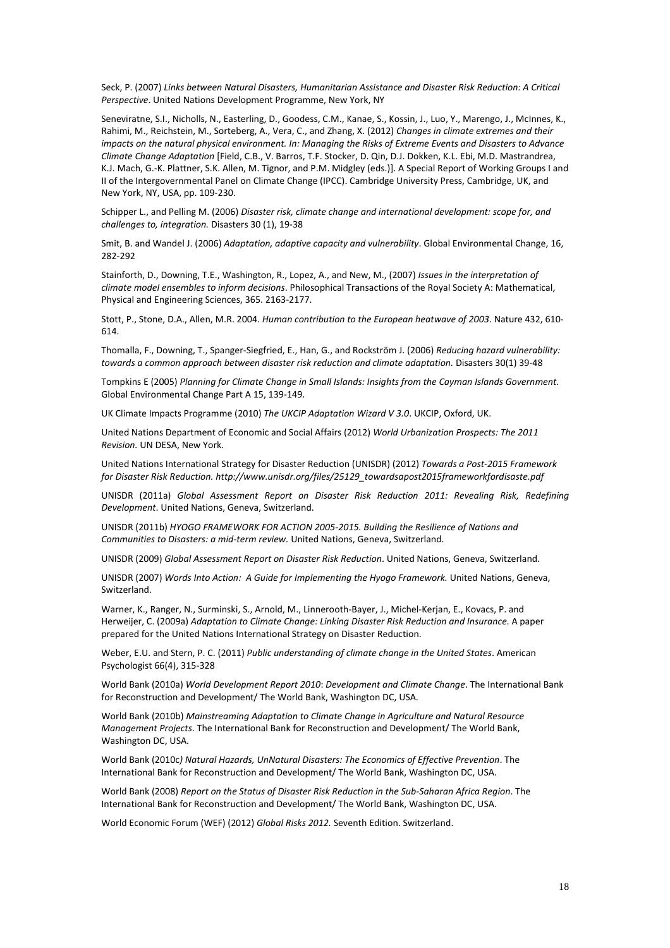Seck, P. (2007) *Links between Natural Disasters, Humanitarian Assistance and Disaster Risk Reduction: A Critical Perspective*. United Nations Development Programme, New York, NY

Seneviratne, S.I., Nicholls, N., Easterling, D., Goodess, C.M., Kanae, S., Kossin, J., Luo, Y., Marengo, J., McInnes, K., Rahimi, M., Reichstein, M., Sorteberg, A., Vera, C., and Zhang, X. (2012) *Changes in climate extremes and their impacts on the natural physical environment. In: Managing the Risks of Extreme Events and Disasters to Advance Climate Change Adaptation* [Field, C.B., V. Barros, T.F. Stocker, D. Qin, D.J. Dokken, K.L. Ebi, M.D. Mastrandrea, K.J. Mach, G.-K. Plattner, S.K. Allen, M. Tignor, and P.M. Midgley (eds.)]. A Special Report of Working Groups I and II of the Intergovernmental Panel on Climate Change (IPCC). Cambridge University Press, Cambridge, UK, and New York, NY, USA, pp. 109-230.

Schipper L., and Pelling M. (2006) *Disaster risk, climate change and international development: scope for, and challenges to, integration.* Disasters 30 (1), 19-38

Smit, B. and Wandel J. (2006) *Adaptation, adaptive capacity and vulnerability*. Global Environmental Change, 16, 282-292

Stainforth, D., Downing, T.E., Washington, R., Lopez, A., and New, M., (2007) *Issues in the interpretation of climate model ensembles to inform decisions*. Philosophical Transactions of the Royal Society A: Mathematical, Physical and Engineering Sciences, 365. 2163-2177.

Stott, P., Stone, D.A., Allen, M.R. 2004. *Human contribution to the European heatwave of 2003*. Nature 432, 610- 614.

Thomalla, F., Downing, T., Spanger-Siegfried, E., Han, G., and Rockström J. (2006) *Reducing hazard vulnerability: towards a common approach between disaster risk reduction and climate adaptation.* Disasters 30(1) 39-48

Tompkins E (2005) *Planning for Climate Change in Small Islands: Insights from the Cayman Islands Government.* Global Environmental Change Part A 15, 139-149.

UK Climate Impacts Programme (2010) *The UKCIP Adaptation Wizard V 3.0*. UKCIP, Oxford, UK.

United Nations Department of Economic and Social Affairs (2012) *World Urbanization Prospects: The 2011 Revision.* UN DESA, New York.

United Nations International Strategy for Disaster Reduction (UNISDR) (2012) *Towards a Post-2015 Framework for Disaster Risk Reduction. http://www.unisdr.org/files/25129\_towardsapost2015frameworkfordisaste.pdf*

UNISDR (2011a) *Global Assessment Report on Disaster Risk Reduction 2011: Revealing Risk, Redefining Development*. United Nations, Geneva, Switzerland.

UNISDR (2011b) *HYOGO FRAMEWORK FOR ACTION 2005-2015. Building the Resilience of Nations and Communities to Disasters: a mid-term review.* United Nations, Geneva, Switzerland.

UNISDR (2009) *Global Assessment Report on Disaster Risk Reduction*. United Nations, Geneva, Switzerland.

UNISDR (2007) *Words Into Action: A Guide for Implementing the Hyogo Framework.* United Nations, Geneva, Switzerland.

Warner, K., Ranger, N., Surminski, S., Arnold, M., Linnerooth-Bayer, J., Michel-Kerjan, E., Kovacs, P. and Herweijer, C. (2009a) *Adaptation to Climate Change: Linking Disaster Risk Reduction and Insurance.* A paper prepared for the United Nations International Strategy on Disaster Reduction.

Weber, E.U. and Stern, P. C. (2011) *Public understanding of climate change in the United States*. American Psychologist 66(4), 315-328

World Bank (2010a) *World Development Report 2010*: *Development and Climate Change*. The International Bank for Reconstruction and Development/ The World Bank, Washington DC, USA.

World Bank (2010b) *Mainstreaming Adaptation to Climate Change in Agriculture and Natural Resource Management Projects*. The International Bank for Reconstruction and Development/ The World Bank, Washington DC, USA.

World Bank (2010c*) Natural Hazards, UnNatural Disasters: The Economics of Effective Prevention*. The International Bank for Reconstruction and Development/ The World Bank, Washington DC, USA.

World Bank (2008) *Report on the Status of Disaster Risk Reduction in the Sub-Saharan Africa Region*. The International Bank for Reconstruction and Development/ The World Bank, Washington DC, USA.

World Economic Forum (WEF) (2012) *Global Risks 2012.* Seventh Edition. Switzerland.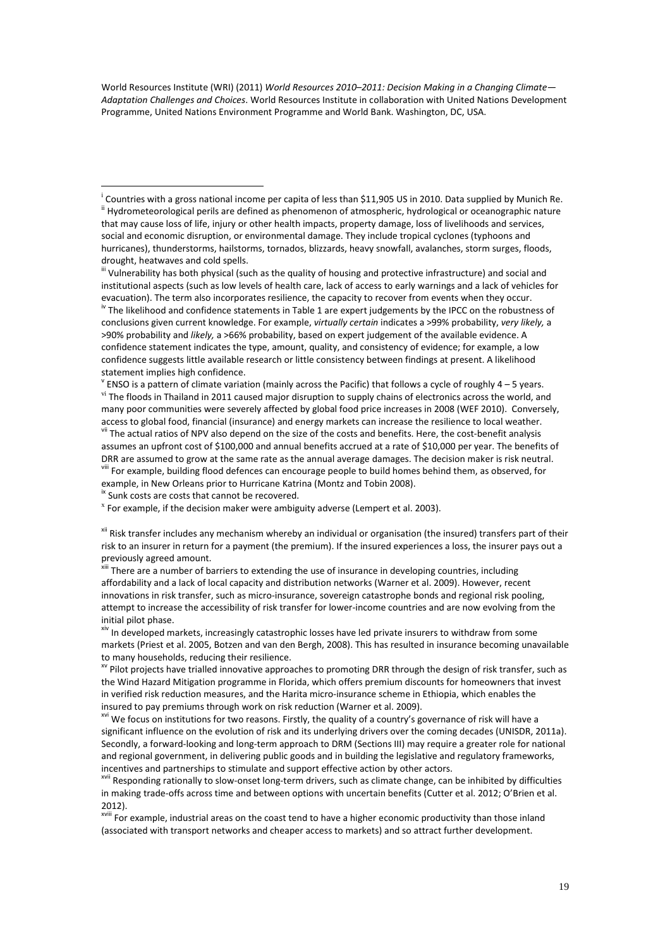World Resources Institute (WRI) (2011) *World Resources 2010–2011: Decision Making in a Changing Climate— Adaptation Challenges and Choices*. World Resources Institute in collaboration with United Nations Development Programme, United Nations Environment Programme and World Bank. Washington, DC, USA.

iii Vulnerability has both physical (such as the quality of housing and protective infrastructure) and social and institutional aspects (such as low levels of health care, lack of access to early warnings and a lack of vehicles for evacuation). The term also incorporates resilience, the capacity to recover from events when they occur. <sup>iv</sup> The likelihood and confidence statements in Table 1 are expert judgements by the IPCC on the robustness of conclusions given current knowledge. For example, *virtually certain* indicates a >99% probability, *very likely,* a

>90% probability and *likely,* a >66% probability, based on expert judgement of the available evidence. A confidence statement indicates the type, amount, quality, and consistency of evidence; for example, a low confidence suggests little available research or little consistency between findings at present. A likelihood statement implies high confidence.

 $\rm v$  ENSO is a pattern of climate variation (mainly across the Pacific) that follows a cycle of roughly 4 – 5 years. vi The floods in Thailand in 2011 caused major disruption to supply chains of electronics across the world, and many poor communities were severely affected by global food price increases in 2008 (WEF 2010). Conversely, access to global food, financial (insurance) and energy markets can increase the resilience to local weather. vii The actual ratios of NPV also depend on the size of the costs and benefits. Here, the cost-benefit analysis assumes an upfront cost of \$100,000 and annual benefits accrued at a rate of \$10,000 per year. The benefits of DRR are assumed to grow at the same rate as the annual average damages. The decision maker is risk neutral. viii For example, building flood defences can encourage people to build homes behind them, as observed, for

example, in New Orleans prior to Hurricane Katrina (Montz and Tobin 2008).

<sup>ix</sup> Sunk costs are costs that cannot be recovered.

 $\overline{a}$ 

 $^x$  For example, if the decision maker were ambiguity adverse (Lempert et al. 2003).

<sup>xii</sup> Risk transfer includes any mechanism whereby an individual or organisation (the insured) transfers part of their risk to an insurer in return for a payment (the premium). If the insured experiences a loss, the insurer pays out a previously agreed amount.

xiii There are a number of barriers to extending the use of insurance in developing countries, including affordability and a lack of local capacity and distribution networks (Warner et al. 2009). However, recent innovations in risk transfer, such as micro-insurance, sovereign catastrophe bonds and regional risk pooling, attempt to increase the accessibility of risk transfer for lower-income countries and are now evolving from the initial pilot phase.

xiv In developed markets, increasingly catastrophic losses have led private insurers to withdraw from some markets (Priest et al. 2005, Botzen and van den Bergh, 2008). This has resulted in insurance becoming unavailable to many households, reducing their resilience.

<sup>xv</sup> Pilot projects have trialled innovative approaches to promoting DRR through the design of risk transfer, such as the Wind Hazard Mitigation programme in Florida, which offers premium discounts for homeowners that invest in verified risk reduction measures, and the Harita micro-insurance scheme in Ethiopia, which enables the insured to pay premiums through work on risk reduction (Warner et al. 2009).

<sup>xvi</sup> We focus on institutions for two reasons. Firstly, the quality of a country's governance of risk will have a significant influence on the evolution of risk and its underlying drivers over the coming decades (UNISDR, 2011a). Secondly, a forward-looking and long-term approach to DRM (Sections III) may require a greater role for national and regional government, in delivering public goods and in building the legislative and regulatory frameworks, incentives and partnerships to stimulate and support effective action by other actors.

xvii Responding rationally to slow-onset long-term drivers, such as climate change, can be inhibited by difficulties in making trade-offs across time and between options with uncertain benefits (Cutter et al. 2012; O'Brien et al. 2012).

<sup>xviii</sup> For example, industrial areas on the coast tend to have a higher economic productivity than those inland (associated with transport networks and cheaper access to markets) and so attract further development.

<sup>&</sup>lt;sup>i</sup> Countries with a gross national income per capita of less than \$11,905 US in 2010. Data supplied by Munich Re. ii Hydrometeorological perils are defined as phenomenon of atmospheric, hydrological or oceanographic nature that may cause loss of life, injury or other health impacts, property damage, loss of livelihoods and services, social and economic disruption, or environmental damage. They include tropical cyclones (typhoons and hurricanes), thunderstorms, hailstorms, tornados, blizzards, heavy snowfall, avalanches, storm surges, floods, drought, heatwaves and cold spells.